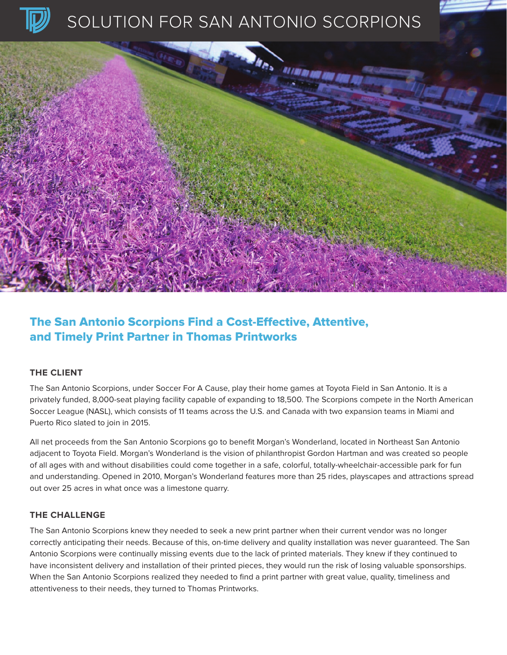

# SOLUTION FOR SAN ANTONIO SCORPIONS



## The San Antonio Scorpions Find a Cost-Effective, Attentive, and Timely Print Partner in Thomas Printworks

#### **THE CLIENT**

The San Antonio Scorpions, under Soccer For A Cause, play their home games at Toyota Field in San Antonio. It is a privately funded, 8,000-seat playing facility capable of expanding to 18,500. The Scorpions compete in the North American Soccer League (NASL), which consists of 11 teams across the U.S. and Canada with two expansion teams in Miami and Puerto Rico slated to join in 2015.

All net proceeds from the San Antonio Scorpions go to benefit Morgan's Wonderland, located in Northeast San Antonio adjacent to Toyota Field. Morgan's Wonderland is the vision of philanthropist Gordon Hartman and was created so people of all ages with and without disabilities could come together in a safe, colorful, totally-wheelchair-accessible park for fun and understanding. Opened in 2010, Morgan's Wonderland features more than 25 rides, playscapes and attractions spread out over 25 acres in what once was a limestone quarry.

#### **THE CHALLENGE**

The San Antonio Scorpions knew they needed to seek a new print partner when their current vendor was no longer correctly anticipating their needs. Because of this, on-time delivery and quality installation was never guaranteed. The San Antonio Scorpions were continually missing events due to the lack of printed materials. They knew if they continued to have inconsistent delivery and installation of their printed pieces, they would run the risk of losing valuable sponsorships. When the San Antonio Scorpions realized they needed to find a print partner with great value, quality, timeliness and attentiveness to their needs, they turned to Thomas Printworks.